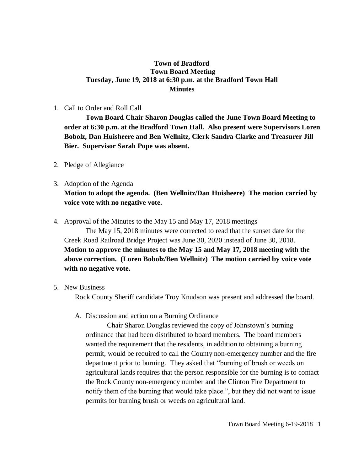## **Town of Bradford Town Board Meeting Tuesday, June 19, 2018 at 6:30 p.m. at the Bradford Town Hall Minutes**

#### 1. Call to Order and Roll Call

**Town Board Chair Sharon Douglas called the June Town Board Meeting to order at 6:30 p.m. at the Bradford Town Hall. Also present were Supervisors Loren Bobolz, Dan Huisheere and Ben Wellnitz, Clerk Sandra Clarke and Treasurer Jill Bier. Supervisor Sarah Pope was absent.**

2. Pledge of Allegiance

# 3. Adoption of the Agenda **Motion to adopt the agenda. (Ben Wellnitz/Dan Huisheere) The motion carried by voice vote with no negative vote.**

4. Approval of the Minutes to the May 15 and May 17, 2018 meetings

The May 15, 2018 minutes were corrected to read that the sunset date for the Creek Road Railroad Bridge Project was June 30, 2020 instead of June 30, 2018. **Motion to approve the minutes to the May 15 and May 17, 2018 meeting with the above correction. (Loren Bobolz/Ben Wellnitz) The motion carried by voice vote with no negative vote.**

## 5. New Business

Rock County Sheriff candidate Troy Knudson was present and addressed the board.

#### A. Discussion and action on a Burning Ordinance

Chair Sharon Douglas reviewed the copy of Johnstown's burning ordinance that had been distributed to board members. The board members wanted the requirement that the residents, in addition to obtaining a burning permit, would be required to call the County non-emergency number and the fire department prior to burning. They asked that "burning of brush or weeds on agricultural lands requires that the person responsible for the burning is to contact the Rock County non-emergency number and the Clinton Fire Department to notify them of the burning that would take place.", but they did not want to issue permits for burning brush or weeds on agricultural land.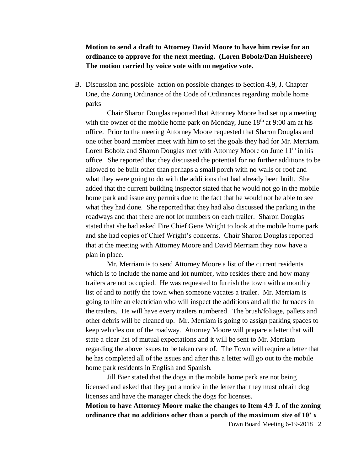**Motion to send a draft to Attorney David Moore to have him revise for an ordinance to approve for the next meeting. (Loren Bobolz/Dan Huisheere) The motion carried by voice vote with no negative vote.**

B. Discussion and possible action on possible changes to Section 4.9, J. Chapter One, the Zoning Ordinance of the Code of Ordinances regarding mobile home parks

Chair Sharon Douglas reported that Attorney Moore had set up a meeting with the owner of the mobile home park on Monday, June  $18<sup>th</sup>$  at 9:00 am at his office. Prior to the meeting Attorney Moore requested that Sharon Douglas and one other board member meet with him to set the goals they had for Mr. Merriam. Loren Bobolz and Sharon Douglas met with Attorney Moore on June 11<sup>th</sup> in his office. She reported that they discussed the potential for no further additions to be allowed to be built other than perhaps a small porch with no walls or roof and what they were going to do with the additions that had already been built. She added that the current building inspector stated that he would not go in the mobile home park and issue any permits due to the fact that he would not be able to see what they had done. She reported that they had also discussed the parking in the roadways and that there are not lot numbers on each trailer. Sharon Douglas stated that she had asked Fire Chief Gene Wright to look at the mobile home park and she had copies of Chief Wright's concerns. Chair Sharon Douglas reported that at the meeting with Attorney Moore and David Merriam they now have a plan in place.

Mr. Merriam is to send Attorney Moore a list of the current residents which is to include the name and lot number, who resides there and how many trailers are not occupied. He was requested to furnish the town with a monthly list of and to notify the town when someone vacates a trailer. Mr. Merriam is going to hire an electrician who will inspect the additions and all the furnaces in the trailers. He will have every trailers numbered. The brush/foliage, pallets and other debris will be cleaned up. Mr. Merriam is going to assign parking spaces to keep vehicles out of the roadway. Attorney Moore will prepare a letter that will state a clear list of mutual expectations and it will be sent to Mr. Merriam regarding the above issues to be taken care of. The Town will require a letter that he has completed all of the issues and after this a letter will go out to the mobile home park residents in English and Spanish.

Jill Bier stated that the dogs in the mobile home park are not being licensed and asked that they put a notice in the letter that they must obtain dog licenses and have the manager check the dogs for licenses.

**Motion to have Attorney Moore make the changes to Item 4.9 J. of the zoning ordinance that no additions other than a porch of the maximum size of 10' x** 

Town Board Meeting 6-19-2018 2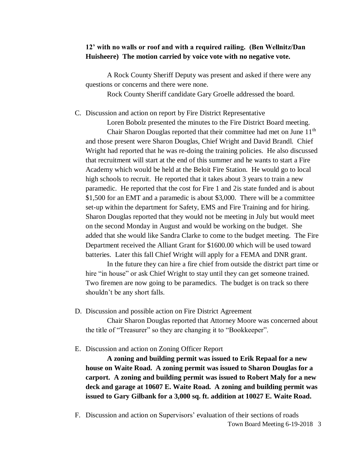## **12' with no walls or roof and with a required railing. (Ben Wellnitz/Dan Huisheere) The motion carried by voice vote with no negative vote.**

A Rock County Sheriff Deputy was present and asked if there were any questions or concerns and there were none.

Rock County Sheriff candidate Gary Groelle addressed the board.

C. Discussion and action on report by Fire District Representative

Loren Bobolz presented the minutes to the Fire District Board meeting. Chair Sharon Douglas reported that their committee had met on June  $11<sup>th</sup>$ and those present were Sharon Douglas, Chief Wright and David Brandl. Chief Wright had reported that he was re-doing the training policies. He also discussed that recruitment will start at the end of this summer and he wants to start a Fire Academy which would be held at the Beloit Fire Station. He would go to local high schools to recruit. He reported that it takes about 3 years to train a new paramedic. He reported that the cost for Fire 1 and 2is state funded and is about \$1,500 for an EMT and a paramedic is about \$3,000. There will be a committee set-up within the department for Safety, EMS and Fire Training and for hiring. Sharon Douglas reported that they would not be meeting in July but would meet on the second Monday in August and would be working on the budget. She added that she would like Sandra Clarke to come to the budget meeting. The Fire Department received the Alliant Grant for \$1600.00 which will be used toward batteries. Later this fall Chief Wright will apply for a FEMA and DNR grant.

In the future they can hire a fire chief from outside the district part time or hire "in house" or ask Chief Wright to stay until they can get someone trained. Two firemen are now going to be paramedics. The budget is on track so there shouldn't be any short falls.

D. Discussion and possible action on Fire District Agreement

Chair Sharon Douglas reported that Attorney Moore was concerned about the title of "Treasurer" so they are changing it to "Bookkeeper".

E. Discussion and action on Zoning Officer Report

**A zoning and building permit was issued to Erik Repaal for a new house on Waite Road. A zoning permit was issued to Sharon Douglas for a carport. A zoning and building permit was issued to Robert Maly for a new deck and garage at 10607 E. Waite Road. A zoning and building permit was issued to Gary Gilbank for a 3,000 sq. ft. addition at 10027 E. Waite Road.**

Town Board Meeting 6-19-2018 3 F. Discussion and action on Supervisors' evaluation of their sections of roads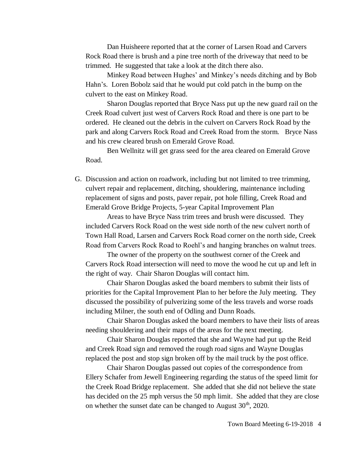Dan Huisheere reported that at the corner of Larsen Road and Carvers Rock Road there is brush and a pine tree north of the driveway that need to be trimmed. He suggested that take a look at the ditch there also.

Minkey Road between Hughes' and Minkey's needs ditching and by Bob Hahn's. Loren Bobolz said that he would put cold patch in the bump on the culvert to the east on Minkey Road.

Sharon Douglas reported that Bryce Nass put up the new guard rail on the Creek Road culvert just west of Carvers Rock Road and there is one part to be ordered. He cleaned out the debris in the culvert on Carvers Rock Road by the park and along Carvers Rock Road and Creek Road from the storm. Bryce Nass and his crew cleared brush on Emerald Grove Road.

Ben Wellnitz will get grass seed for the area cleared on Emerald Grove Road.

G. Discussion and action on roadwork, including but not limited to tree trimming, culvert repair and replacement, ditching, shouldering, maintenance including replacement of signs and posts, paver repair, pot hole filling, Creek Road and Emerald Grove Bridge Projects, 5-year Capital Improvement Plan

Areas to have Bryce Nass trim trees and brush were discussed. They included Carvers Rock Road on the west side north of the new culvert north of Town Hall Road, Larsen and Carvers Rock Road corner on the north side, Creek Road from Carvers Rock Road to Roehl's and hanging branches on walnut trees.

The owner of the property on the southwest corner of the Creek and Carvers Rock Road intersection will need to move the wood he cut up and left in the right of way. Chair Sharon Douglas will contact him.

Chair Sharon Douglas asked the board members to submit their lists of priorities for the Capital Improvement Plan to her before the July meeting. They discussed the possibility of pulverizing some of the less travels and worse roads including Milner, the south end of Odling and Dunn Roads.

Chair Sharon Douglas asked the board members to have their lists of areas needing shouldering and their maps of the areas for the next meeting.

Chair Sharon Douglas reported that she and Wayne had put up the Reid and Creek Road sign and removed the rough road signs and Wayne Douglas replaced the post and stop sign broken off by the mail truck by the post office.

Chair Sharon Douglas passed out copies of the correspondence from Ellery Schafer from Jewell Engineering regarding the status of the speed limit for the Creek Road Bridge replacement. She added that she did not believe the state has decided on the 25 mph versus the 50 mph limit. She added that they are close on whether the sunset date can be changed to August  $30<sup>th</sup>$ ,  $2020$ .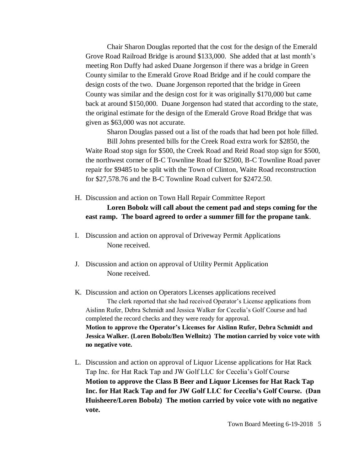Chair Sharon Douglas reported that the cost for the design of the Emerald Grove Road Railroad Bridge is around \$133,000. She added that at last month's meeting Ron Duffy had asked Duane Jorgenson if there was a bridge in Green County similar to the Emerald Grove Road Bridge and if he could compare the design costs of the two. Duane Jorgenson reported that the bridge in Green County was similar and the design cost for it was originally \$170,000 but came back at around \$150,000. Duane Jorgenson had stated that according to the state, the original estimate for the design of the Emerald Grove Road Bridge that was given as \$63,000 was not accurate.

Sharon Douglas passed out a list of the roads that had been pot hole filled. Bill Johns presented bills for the Creek Road extra work for \$2850, the Waite Road stop sign for \$500, the Creek Road and Reid Road stop sign for \$500, the northwest corner of B-C Townline Road for \$2500, B-C Townline Road paver repair for \$9485 to be split with the Town of Clinton, Waite Road reconstruction for \$27,578.76 and the B-C Townline Road culvert for \$2472.50.

- H. Discussion and action on Town Hall Repair Committee Report **Loren Bobolz will call about the cement pad and steps coming for the east ramp. The board agreed to order a summer fill for the propane tank**.
- I. Discussion and action on approval of Driveway Permit Applications None received.
- J. Discussion and action on approval of Utility Permit Application None received.
- K. Discussion and action on Operators Licenses applications received The clerk reported that she had received Operator's License applications from Aislinn Rufer, Debra Schmidt and Jessica Walker for Cecelia's Golf Course and had completed the record checks and they were ready for approval. **Motion to approve the Operator's Licenses for Aislinn Rufer, Debra Schmidt and Jessica Walker. (Loren Bobolz/Ben Wellnitz) The motion carried by voice vote with no negative vote.**
- L. Discussion and action on approval of Liquor License applications for Hat Rack Tap Inc. for Hat Rack Tap and JW Golf LLC for Cecelia's Golf Course **Motion to approve the Class B Beer and Liquor Licenses for Hat Rack Tap Inc. for Hat Rack Tap and for JW Golf LLC for Cecelia's Golf Course. (Dan Huisheere/Loren Bobolz) The motion carried by voice vote with no negative vote.**